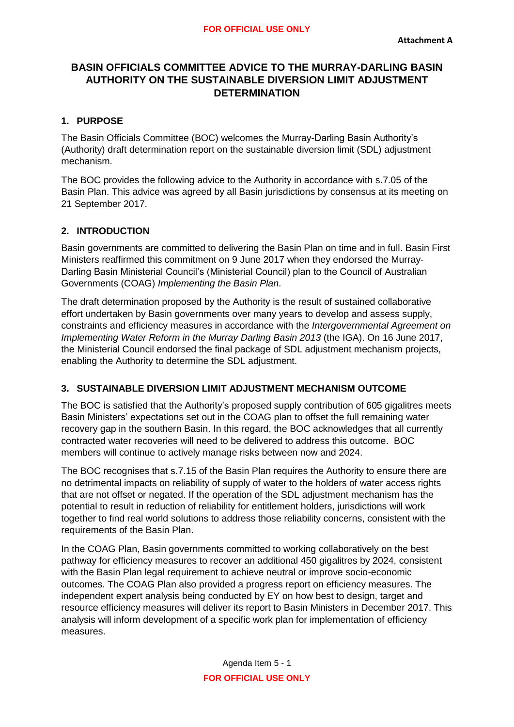# **BASIN OFFICIALS COMMITTEE ADVICE TO THE MURRAY-DARLING BASIN AUTHORITY ON THE SUSTAINABLE DIVERSION LIMIT ADJUSTMENT DETERMINATION**

### **1. PURPOSE**

The Basin Officials Committee (BOC) welcomes the Murray-Darling Basin Authority's (Authority) draft determination report on the sustainable diversion limit (SDL) adjustment mechanism.

The BOC provides the following advice to the Authority in accordance with s.7.05 of the Basin Plan. This advice was agreed by all Basin jurisdictions by consensus at its meeting on 21 September 2017.

### **2. INTRODUCTION**

Basin governments are committed to delivering the Basin Plan on time and in full. Basin First Ministers reaffirmed this commitment on 9 June 2017 when they endorsed the Murray-Darling Basin Ministerial Council's (Ministerial Council) plan to the Council of Australian Governments (COAG) *Implementing the Basin Plan*.

The draft determination proposed by the Authority is the result of sustained collaborative effort undertaken by Basin governments over many years to develop and assess supply, constraints and efficiency measures in accordance with the *Intergovernmental Agreement on Implementing Water Reform in the Murray Darling Basin 2013* (the IGA). On 16 June 2017, the Ministerial Council endorsed the final package of SDL adjustment mechanism projects, enabling the Authority to determine the SDL adjustment.

# **3. SUSTAINABLE DIVERSION LIMIT ADJUSTMENT MECHANISM OUTCOME**

The BOC is satisfied that the Authority's proposed supply contribution of 605 gigalitres meets Basin Ministers' expectations set out in the COAG plan to offset the full remaining water recovery gap in the southern Basin. In this regard, the BOC acknowledges that all currently contracted water recoveries will need to be delivered to address this outcome. BOC members will continue to actively manage risks between now and 2024.

The BOC recognises that s.7.15 of the Basin Plan requires the Authority to ensure there are no detrimental impacts on reliability of supply of water to the holders of water access rights that are not offset or negated. If the operation of the SDL adjustment mechanism has the potential to result in reduction of reliability for entitlement holders, jurisdictions will work together to find real world solutions to address those reliability concerns, consistent with the requirements of the Basin Plan.

In the COAG Plan, Basin governments committed to working collaboratively on the best pathway for efficiency measures to recover an additional 450 gigalitres by 2024, consistent with the Basin Plan legal requirement to achieve neutral or improve socio-economic outcomes. The COAG Plan also provided a progress report on efficiency measures. The independent expert analysis being conducted by EY on how best to design, target and resource efficiency measures will deliver its report to Basin Ministers in December 2017. This analysis will inform development of a specific work plan for implementation of efficiency measures.

> Agenda Item 5 - 1 **FOR OFFICIAL USE ONLY**